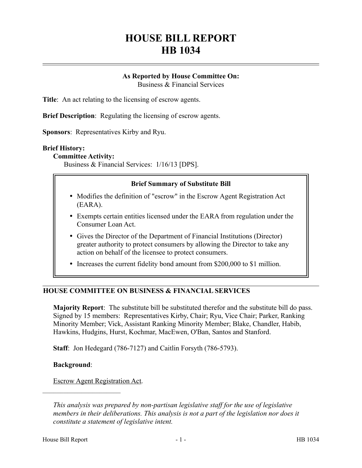# **HOUSE BILL REPORT HB 1034**

## **As Reported by House Committee On:**

Business & Financial Services

**Title**: An act relating to the licensing of escrow agents.

**Brief Description**: Regulating the licensing of escrow agents.

**Sponsors**: Representatives Kirby and Ryu.

#### **Brief History:**

#### **Committee Activity:**

Business & Financial Services: 1/16/13 [DPS].

#### **Brief Summary of Substitute Bill**

- Modifies the definition of "escrow" in the Escrow Agent Registration Act (EARA).
- Exempts certain entities licensed under the EARA from regulation under the Consumer Loan Act.
- Gives the Director of the Department of Financial Institutions (Director) greater authority to protect consumers by allowing the Director to take any action on behalf of the licensee to protect consumers.
- Increases the current fidelity bond amount from \$200,000 to \$1 million.

## **HOUSE COMMITTEE ON BUSINESS & FINANCIAL SERVICES**

**Majority Report**: The substitute bill be substituted therefor and the substitute bill do pass. Signed by 15 members: Representatives Kirby, Chair; Ryu, Vice Chair; Parker, Ranking Minority Member; Vick, Assistant Ranking Minority Member; Blake, Chandler, Habib, Hawkins, Hudgins, Hurst, Kochmar, MacEwen, O'Ban, Santos and Stanford.

**Staff**: Jon Hedegard (786-7127) and Caitlin Forsyth (786-5793).

#### **Background**:

––––––––––––––––––––––

Escrow Agent Registration Act.

*This analysis was prepared by non-partisan legislative staff for the use of legislative members in their deliberations. This analysis is not a part of the legislation nor does it constitute a statement of legislative intent.*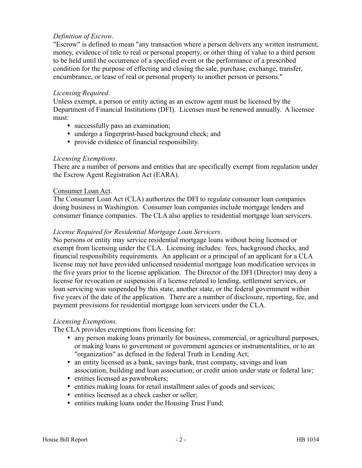## *Definition of Escrow*.

"Escrow" is defined to mean "any transaction where a person delivers any written instrument, money, evidence of title to real or personal property, or other thing of value to a third person to be held until the occurrence of a specified event or the performance of a prescribed condition for the purpose of effecting and closing the sale, purchase, exchange, transfer, encumbrance, or lease of real or personal property to another person or persons."

#### *Licensing Required*.

Unless exempt, a person or entity acting as an escrow agent must be licensed by the Department of Financial Institutions (DFI). Licenses must be renewed annually. A licensee must:

- successfully pass an examination;
- undergo a fingerprint-based background check; and
- provide evidence of financial responsibility.

#### *Licensing Exemptions.*

There are a number of persons and entities that are specifically exempt from regulation under the Escrow Agent Registration Act (EARA).

#### Consumer Loan Act.

The Consumer Loan Act (CLA) authorizes the DFI to regulate consumer loan companies doing business in Washington. Consumer loan companies include mortgage lenders and consumer finance companies. The CLA also applies to residential mortgage loan servicers.

#### *License Required for Residential Mortgage Loan Servicers*.

No persons or entity may service residential mortgage loans without being licensed or exempt from licensing under the CLA. Licensing includes: fees, background checks, and financial responsibility requirements. An applicant or a principal of an applicant for a CLA license may not have provided unlicensed residential mortgage loan modification services in the five years prior to the license application. The Director of the DFI (Director) may deny a license for revocation or suspension if a license related to lending, settlement services, or loan servicing was suspended by this state, another state, or the federal government within five years of the date of the application. There are a number of disclosure, reporting, fee, and payment provisions for residential mortgage loan servicers under the CLA.

#### *Licensing Exemptions.*

The CLA provides exemptions from licensing for:

- any person making loans primarily for business, commercial, or agricultural purposes, or making loans to government or government agencies or instrumentalities, or to an "organization" as defined in the federal Truth in Lending Act;
- an entity licensed as a bank, savings bank, trust company, savings and loan association, building and loan association, or credit union under state or federal law;
- entities licensed as pawnbrokers;
- entities making loans for retail installment sales of goods and services;
- entities licensed as a check casher or seller;
- entities making loans under the Housing Trust Fund;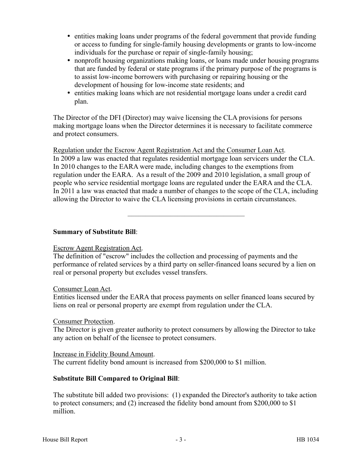- entities making loans under programs of the federal government that provide funding or access to funding for single-family housing developments or grants to low-income individuals for the purchase or repair of single-family housing;
- nonprofit housing organizations making loans, or loans made under housing programs that are funded by federal or state programs if the primary purpose of the programs is to assist low-income borrowers with purchasing or repairing housing or the development of housing for low-income state residents; and
- entities making loans which are not residential mortgage loans under a credit card plan.

The Director of the DFI (Director) may waive licensing the CLA provisions for persons making mortgage loans when the Director determines it is necessary to facilitate commerce and protect consumers.

Regulation under the Escrow Agent Registration Act and the Consumer Loan Act. In 2009 a law was enacted that regulates residential mortgage loan servicers under the CLA. In 2010 changes to the EARA were made, including changes to the exemptions from regulation under the EARA. As a result of the 2009 and 2010 legislation, a small group of people who service residential mortgage loans are regulated under the EARA and the CLA. In 2011 a law was enacted that made a number of changes to the scope of the CLA, including allowing the Director to waive the CLA licensing provisions in certain circumstances.

–––––––––––––––––––––––––––––––––

## **Summary of Substitute Bill**:

## Escrow Agent Registration Act.

The definition of "escrow" includes the collection and processing of payments and the performance of related services by a third party on seller-financed loans secured by a lien on real or personal property but excludes vessel transfers.

## Consumer Loan Act.

Entities licensed under the EARA that process payments on seller financed loans secured by liens on real or personal property are exempt from regulation under the CLA.

## Consumer Protection.

The Director is given greater authority to protect consumers by allowing the Director to take any action on behalf of the licensee to protect consumers.

Increase in Fidelity Bound Amount. The current fidelity bond amount is increased from \$200,000 to \$1 million.

## **Substitute Bill Compared to Original Bill**:

The substitute bill added two provisions: (1) expanded the Director's authority to take action to protect consumers; and (2) increased the fidelity bond amount from \$200,000 to \$1 million.